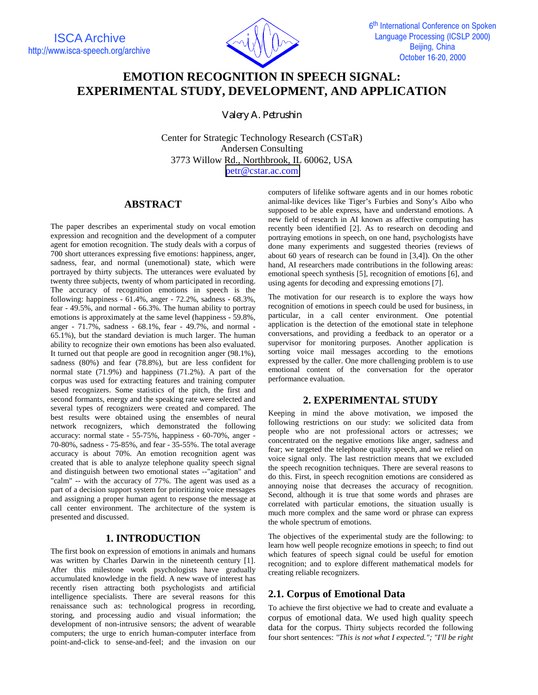

# **EMOTION RECOGNITION IN SPEECH SIGNAL: EXPERIMENTAL STUDY, DEVELOPMENT, AND APPLICATION**

*Valery A. Petrushin* 

Center for Strategic Technology Research (CSTaR) Andersen Consulting 3773 Willow Rd., Northbrook, IL 60062, USA [petr@cstar.ac.com](mailto:petr@cstar.ac.com)

## **ABSTRACT**

The paper describes an experimental study on vocal emotion expression and recognition and the development of a computer agent for emotion recognition. The study deals with a corpus of 700 short utterances expressing five emotions: happiness, anger, sadness, fear, and normal (unemotional) state, which were portrayed by thirty subjects. The utterances were evaluated by twenty three subjects, twenty of whom participated in recording. The accuracy of recognition emotions in speech is the following: happiness - 61.4%, anger - 72.2%, sadness - 68.3%, fear - 49.5%, and normal - 66.3%. The human ability to portray emotions is approximately at the same level (happiness - 59.8%, anger - 71.7%, sadness - 68.1%, fear - 49.7%, and normal - 65.1%), but the standard deviation is much larger. The human ability to recognize their own emotions has been also evaluated. It turned out that people are good in recognition anger (98.1%), sadness (80%) and fear (78.8%), but are less confident for normal state (71.9%) and happiness (71.2%). A part of the corpus was used for extracting features and training computer based recognizers. Some statistics of the pitch, the first and second formants, energy and the speaking rate were selected and several types of recognizers were created and compared. The best results were obtained using the ensembles of neural network recognizers, which demonstrated the following accuracy: normal state - 55-75%, happiness - 60-70%, anger - 70-80%, sadness - 75-85%, and fear - 35-55%. The total average accuracy is about 70%. An emotion recognition agent was created that is able to analyze telephone quality speech signal and distinguish between two emotional states --"agitation" and "calm" -- with the accuracy of 77%. The agent was used as a part of a decision support system for prioritizing voice messages and assigning a proper human agent to response the message at call center environment. The architecture of the system is presented and discussed.

## **1. INTRODUCTION**

The first book on expression of emotions in animals and humans was written by Charles Darwin in the nineteenth century [1]. After this milestone work psychologists have gradually accumulated knowledge in the field. A new wave of interest has recently risen attracting both psychologists and artificial intelligence specialists. There are several reasons for this renaissance such as: technological progress in recording, storing, and processing audio and visual information; the development of non-intrusive sensors; the advent of wearable computers; the urge to enrich human-computer interface from point-and-click to sense-and-feel; and the invasion on our

computers of lifelike software agents and in our homes robotic animal-like devices like Tiger's Furbies and Sony's Aibo who supposed to be able express, have and understand emotions. A new field of research in AI known as affective computing has recently been identified [2]. As to research on decoding and portraying emotions in speech, on one hand, psychologists have done many experiments and suggested theories (reviews of about 60 years of research can be found in [3,4]). On the other hand, AI researchers made contributions in the following areas: emotional speech synthesis [5], recognition of emotions [6], and using agents for decoding and expressing emotions [7].

The motivation for our research is to explore the ways how recognition of emotions in speech could be used for business, in particular, in a call center environment. One potential application is the detection of the emotional state in telephone conversations, and providing a feedback to an operator or a supervisor for monitoring purposes. Another application is sorting voice mail messages according to the emotions expressed by the caller. One more challenging problem is to use emotional content of the conversation for the operator performance evaluation.

## **2. EXPERIMENTAL STUDY**

Keeping in mind the above motivation, we imposed the following restrictions on our study: we solicited data from people who are not professional actors or actresses; we concentrated on the negative emotions like anger, sadness and fear; we targeted the telephone quality speech, and we relied on voice signal only. The last restriction means that we excluded the speech recognition techniques. There are several reasons to do this. First, in speech recognition emotions are considered as annoying noise that decreases the accuracy of recognition. Second, although it is true that some words and phrases are correlated with particular emotions, the situation usually is much more complex and the same word or phrase can express the whole spectrum of emotions.

The objectives of the experimental study are the following: to learn how well people recognize emotions in speech; to find out which features of speech signal could be useful for emotion recognition; and to explore different mathematical models for creating reliable recognizers.

## **2.1. Corpus of Emotional Data**

To achieve the first objective we had to create and evaluate a corpus of emotional data. We used high quality speech data for the corpus. Thirty subjects recorded the following four short sentences: *"This is not what I expected."; "I'll be right*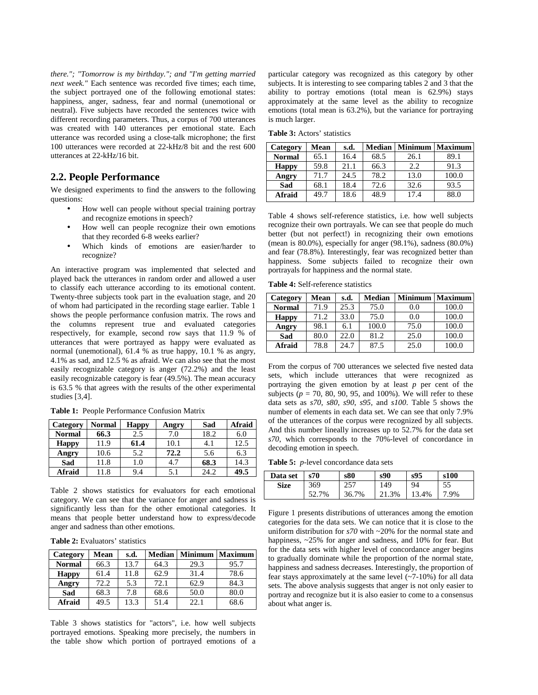*there."; "Tomorrow is my birthday."; and "I'm getting married next week."* Each sentence was recorded five times; each time, the subject portrayed one of the following emotional states: happiness, anger, sadness, fear and normal (unemotional or neutral). Five subjects have recorded the sentences twice with different recording parameters. Thus, a corpus of 700 utterances was created with 140 utterances per emotional state. Each utterance was recorded using a close-talk microphone; the first 100 utterances were recorded at 22-kHz/8 bit and the rest 600 utterances at 22-kHz/16 bit.

#### **2.2. People Performance**

We designed experiments to find the answers to the following questions:

- How well can people without special training portray and recognize emotions in speech?
- How well can people recognize their own emotions that they recorded 6-8 weeks earlier?
- Which kinds of emotions are easier/harder to recognize?

An interactive program was implemented that selected and played back the utterances in random order and allowed a user to classify each utterance according to its emotional content. Twenty-three subjects took part in the evaluation stage, and 20 of whom had participated in the recording stage earlier. Table 1 shows the people performance confusion matrix. The rows and the columns represent true and evaluated categories respectively, for example, second row says that 11.9 % of utterances that were portrayed as happy were evaluated as normal (unemotional), 61.4 % as true happy, 10.1 % as angry, 4.1% as sad, and 12.5 % as afraid. We can also see that the most easily recognizable category is anger (72.2%) and the least easily recognizable category is fear (49.5%). The mean accuracy is 63.5 % that agrees with the results of the other experimental studies [3,4].

| Category      | <b>Normal</b> | <b>Happy</b> | Angry | Sad  | Afraid |
|---------------|---------------|--------------|-------|------|--------|
| <b>Normal</b> | 66.3          | 2.5          | 7.0   | 18.2 | 6.0    |
| <b>Happy</b>  | 11.9          | 61.4         | 10.1  |      | 12.5   |
| Angry         | 10.6          | 5.2          | 72.2  | 5.6  | 6.3    |
| Sad           | 11.8          | 1.0          | 4.7   | 68.3 | 14.3   |
| Afraid        | 11.8          | 9.4          | 5.1   | 24.2 | 49.5   |

**Table 1:** People Performance Confusion Matrix

Table 2 shows statistics for evaluators for each emotional category. We can see that the variance for anger and sadness is significantly less than for the other emotional categories. It means that people better understand how to express/decode anger and sadness than other emotions.

| <b>Table 2:</b> Evaluators' statistics |
|----------------------------------------|
|----------------------------------------|

| Category      | Mean | s.d. | <b>Median</b> | <b>Minimum</b> | <b>Maximum</b> |
|---------------|------|------|---------------|----------------|----------------|
| <b>Normal</b> | 66.3 | 13.7 | 64.3          | 29.3           | 95.7           |
| <b>Happy</b>  | 61.4 | 11.8 | 62.9          | 31.4           | 78.6           |
| Angry         | 72.2 | 5.3  | 72.1          | 62.9           | 84.3           |
| Sad           | 68.3 | 7.8  | 68.6          | 50.0           | 80.0           |
| <b>Afraid</b> | 49.5 | 13.3 | 51.4          | 22.1           | 68.6           |

Table 3 shows statistics for "actors", i.e. how well subjects portrayed emotions. Speaking more precisely, the numbers in the table show which portion of portrayed emotions of a

particular category was recognized as this category by other subjects. It is interesting to see comparing tables 2 and 3 that the ability to portray emotions (total mean is 62.9%) stays approximately at the same level as the ability to recognize emotions (total mean is 63.2%), but the variance for portraying is much larger.

**Table 3:** Actors' statistics

| Category      | Mean | s.d. | <b>Median</b> | <b>Minimum</b> | <b>Maximum</b> |
|---------------|------|------|---------------|----------------|----------------|
| <b>Normal</b> | 65.1 | 16.4 | 68.5          | 26.1           | 89.1           |
| <b>Happy</b>  | 59.8 | 21.1 | 66.3          | 2.2            | 91.3           |
| Angry         | 71.7 | 24.5 | 78.2          | 13.0           | 100.0          |
| Sad           | 68.1 | 18.4 | 72.6          | 32.6           | 93.5           |
| <b>Afraid</b> | 49.7 | 18.6 | 48.9          | 17.4           | 88.0           |

Table 4 shows self-reference statistics, i.e. how well subjects recognize their own portrayals. We can see that people do much better (but not perfect!) in recognizing their own emotions (mean is 80.0%), especially for anger (98.1%), sadness (80.0%) and fear (78.8%). Interestingly, fear was recognized better than happiness. Some subjects failed to recognize their own portrayals for happiness and the normal state.

**Table 4:** Self-reference statistics

| Category      | Mean | s.d. | <b>Median</b> | <b>Minimum</b> | <b>Maximum</b> |
|---------------|------|------|---------------|----------------|----------------|
| <b>Normal</b> | 71.9 | 25.3 | 75.0          | 0.0            | 100.0          |
| <b>Happy</b>  | 71.2 | 33.0 | 75.0          | 0.0            | 100.0          |
| Angry         | 98.1 | 6.1  | 100.0         | 75.0           | 100.0          |
| Sad           | 80.0 | 22.0 | 81.2          | 25.0           | 100.0          |
| Afraid        | 78.8 | 24.7 | 87.5          | 25.0           | 100.0          |

From the corpus of 700 utterances we selected five nested data sets, which include utterances that were recognized as portraying the given emotion by at least *p* per cent of the subjects ( $p = 70, 80, 90, 95,$  and 100%). We will refer to these data sets as *s70*, *s80*, *s90*, *s95*, and *s100*. Table 5 shows the number of elements in each data set. We can see that only 7.9% of the utterances of the corpus were recognized by all subjects. And this number lineally increases up to 52.7% for the data set *s70*, which corresponds to the 70%-level of concordance in decoding emotion in speech.

**Table 5:** *p*-level concordance data sets

| Data set    | s70   | s80   | s90   | s95   | s100 |
|-------------|-------|-------|-------|-------|------|
| <b>Size</b> | 369   | 257   | 149   | 94    |      |
|             | 52.7% | 36.7% | 21.3% | 13.4% | 7.9% |

Figure 1 presents distributions of utterances among the emotion categories for the data sets. We can notice that it is close to the uniform distribution for *s70* with ~20% for the normal state and happiness,  $\sim$ 25% for anger and sadness, and 10% for fear. But for the data sets with higher level of concordance anger begins to gradually dominate while the proportion of the normal state, happiness and sadness decreases. Interestingly, the proportion of fear stays approximately at the same level (~7-10%) for all data sets. The above analysis suggests that anger is not only easier to portray and recognize but it is also easier to come to a consensus about what anger is.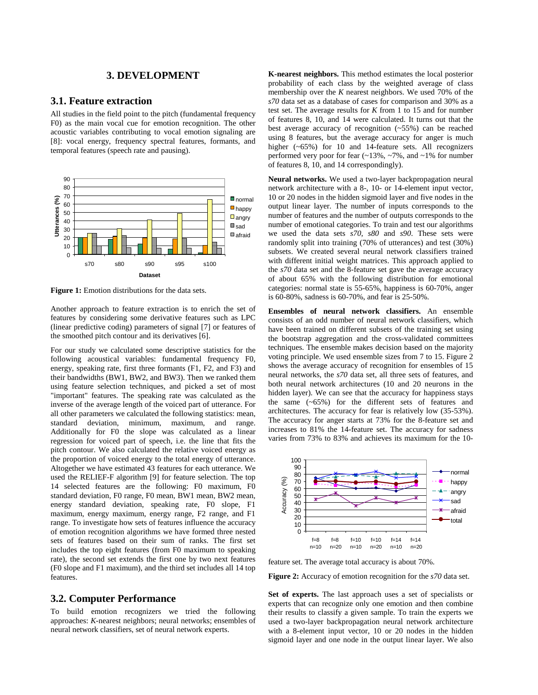#### **3. DEVELOPMENT**

#### **3.1. Feature extraction**

All studies in the field point to the pitch (fundamental frequency F0) as the main vocal cue for emotion recognition. The other acoustic variables contributing to vocal emotion signaling are [8]: vocal energy, frequency spectral features, formants, and temporal features (speech rate and pausing).



**Figure 1:** Emotion distributions for the data sets.

Another approach to feature extraction is to enrich the set of features by considering some derivative features such as LPC (linear predictive coding) parameters of signal [7] or features of the smoothed pitch contour and its derivatives [6].

For our study we calculated some descriptive statistics for the following acoustical variables: fundamental frequency F0, energy, speaking rate, first three formants (F1, F2, and F3) and their bandwidths (BW1, BW2, and BW3). Then we ranked them using feature selection techniques, and picked a set of most "important" features. The speaking rate was calculated as the inverse of the average length of the voiced part of utterance. For all other parameters we calculated the following statistics: mean, standard deviation, minimum, maximum, and range. Additionally for F0 the slope was calculated as a linear regression for voiced part of speech, i.e. the line that fits the pitch contour. We also calculated the relative voiced energy as the proportion of voiced energy to the total energy of utterance. Altogether we have estimated 43 features for each utterance. We used the RELIEF-F algorithm [9] for feature selection. The top 14 selected features are the following: F0 maximum, F0 standard deviation, F0 range, F0 mean, BW1 mean, BW2 mean, energy standard deviation, speaking rate, F0 slope, F1 maximum, energy maximum, energy range, F2 range, and F1 range. To investigate how sets of features influence the accuracy of emotion recognition algorithms we have formed three nested sets of features based on their sum of ranks. The first set includes the top eight features (from F0 maximum to speaking rate), the second set extends the first one by two next features (F0 slope and F1 maximum), and the third set includes all 14 top features.

#### **3.2. Computer Performance**

To build emotion recognizers we tried the following approaches: *K*-nearest neighbors; neural networks; ensembles of neural network classifiers, set of neural network experts.

**K-nearest neighbors.** This method estimates the local posterior probability of each class by the weighted average of class membership over the *K* nearest neighbors. We used 70% of the *s70* data set as a database of cases for comparison and 30% as a test set. The average results for *K* from 1 to 15 and for number of features 8, 10, and 14 were calculated. It turns out that the best average accuracy of recognition (~55%) can be reached using 8 features, but the average accuracy for anger is much higher (~65%) for 10 and 14-feature sets. All recognizers performed very poor for fear  $(\sim 13\%, \sim 7\%)$ , and  $\sim 1\%$  for number of features 8, 10, and 14 correspondingly).

**Neural networks.** We used a two-layer backpropagation neural network architecture with a 8-, 10- or 14-element input vector, 10 or 20 nodes in the hidden sigmoid layer and five nodes in the output linear layer. The number of inputs corresponds to the number of features and the number of outputs corresponds to the number of emotional categories. To train and test our algorithms we used the data sets *s70*, *s80* and *s90*. These sets were randomly split into training (70% of utterances) and test (30%) subsets. We created several neural network classifiers trained with different initial weight matrices. This approach applied to the *s70* data set and the 8-feature set gave the average accuracy of about 65% with the following distribution for emotional categories: normal state is 55-65%, happiness is 60-70%, anger is 60-80%, sadness is 60-70%, and fear is 25-50%.

**Ensembles of neural network classifiers.** An ensemble consists of an odd number of neural network classifiers, which have been trained on different subsets of the training set using the bootstrap aggregation and the cross-validated committees techniques. The ensemble makes decision based on the majority voting principle. We used ensemble sizes from 7 to 15. Figure 2 shows the average accuracy of recognition for ensembles of 15 neural networks, the *s70* data set, all three sets of features, and both neural network architectures (10 and 20 neurons in the hidden layer). We can see that the accuracy for happiness stays the same (~65%) for the different sets of features and architectures. The accuracy for fear is relatively low (35-53%). The accuracy for anger starts at 73% for the 8-feature set and increases to 81% the 14-feature set. The accuracy for sadness varies from 73% to 83% and achieves its maximum for the 10-



feature set. The average total accuracy is about 70%.

**Figure 2:** Accuracy of emotion recognition for the *s70* data set.

**Set of experts.** The last approach uses a set of specialists or experts that can recognize only one emotion and then combine their results to classify a given sample. To train the experts we used a two-layer backpropagation neural network architecture with a 8-element input vector, 10 or 20 nodes in the hidden sigmoid layer and one node in the output linear layer. We also